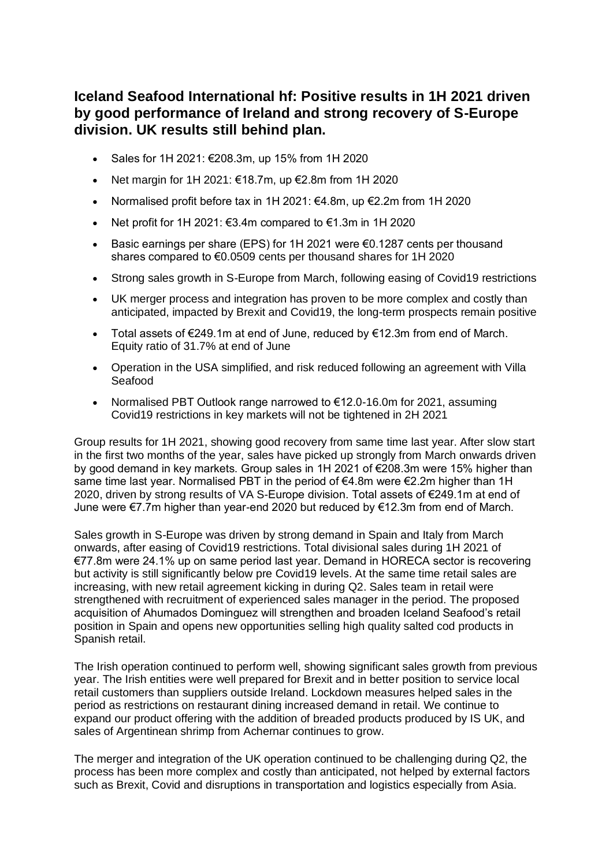# **Iceland Seafood International hf: Positive results in 1H 2021 driven by good performance of Ireland and strong recovery of S-Europe division. UK results still behind plan.**

- Sales for 1H 2021: €208.3m, up 15% from 1H 2020
- Net margin for 1H 2021:  $€18.7m$ , up  $€2.8m$  from 1H 2020
- Normalised profit before tax in 1H 2021: €4.8m, up €2.2m from 1H 2020
- Net profit for 1H 2021:  $\epsilon$ 3.4m compared to  $\epsilon$ 1.3m in 1H 2020
- Basic earnings per share (EPS) for 1H 2021 were €0.1287 cents per thousand shares compared to €0.0509 cents per thousand shares for 1H 2020
- Strong sales growth in S-Europe from March, following easing of Covid19 restrictions
- UK merger process and integration has proven to be more complex and costly than anticipated, impacted by Brexit and Covid19, the long-term prospects remain positive
- Total assets of €249.1m at end of June, reduced by €12.3m from end of March. Equity ratio of 31.7% at end of June
- Operation in the USA simplified, and risk reduced following an agreement with Villa Seafood
- Normalised PBT Outlook range narrowed to €12.0-16.0m for 2021, assuming Covid19 restrictions in key markets will not be tightened in 2H 2021

Group results for 1H 2021, showing good recovery from same time last year. After slow start in the first two months of the year, sales have picked up strongly from March onwards driven by good demand in key markets. Group sales in 1H 2021 of €208.3m were 15% higher than same time last year. Normalised PBT in the period of  $\epsilon$ 4.8m were  $\epsilon$ 2.2m higher than 1H 2020, driven by strong results of VA S-Europe division. Total assets of €249.1m at end of June were €7.7m higher than year-end 2020 but reduced by €12.3m from end of March.

Sales growth in S-Europe was driven by strong demand in Spain and Italy from March onwards, after easing of Covid19 restrictions. Total divisional sales during 1H 2021 of €77.8m were 24.1% up on same period last year. Demand in HORECA sector is recovering but activity is still significantly below pre Covid19 levels. At the same time retail sales are increasing, with new retail agreement kicking in during Q2. Sales team in retail were strengthened with recruitment of experienced sales manager in the period. The proposed acquisition of Ahumados Dominguez will strengthen and broaden Iceland Seafood's retail position in Spain and opens new opportunities selling high quality salted cod products in Spanish retail.

The Irish operation continued to perform well, showing significant sales growth from previous year. The Irish entities were well prepared for Brexit and in better position to service local retail customers than suppliers outside Ireland. Lockdown measures helped sales in the period as restrictions on restaurant dining increased demand in retail. We continue to expand our product offering with the addition of breaded products produced by IS UK, and sales of Argentinean shrimp from Achernar continues to grow.

The merger and integration of the UK operation continued to be challenging during Q2, the process has been more complex and costly than anticipated, not helped by external factors such as Brexit, Covid and disruptions in transportation and logistics especially from Asia.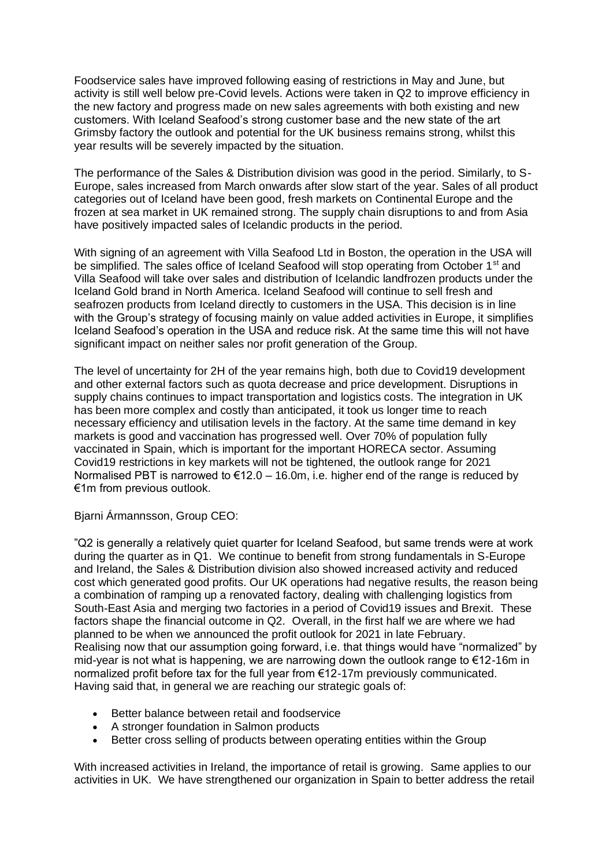Foodservice sales have improved following easing of restrictions in May and June, but activity is still well below pre-Covid levels. Actions were taken in Q2 to improve efficiency in the new factory and progress made on new sales agreements with both existing and new customers. With Iceland Seafood's strong customer base and the new state of the art Grimsby factory the outlook and potential for the UK business remains strong, whilst this year results will be severely impacted by the situation.

The performance of the Sales & Distribution division was good in the period. Similarly, to S-Europe, sales increased from March onwards after slow start of the year. Sales of all product categories out of Iceland have been good, fresh markets on Continental Europe and the frozen at sea market in UK remained strong. The supply chain disruptions to and from Asia have positively impacted sales of Icelandic products in the period.

With signing of an agreement with Villa Seafood Ltd in Boston, the operation in the USA will be simplified. The sales office of Iceland Seafood will stop operating from October 1<sup>st</sup> and Villa Seafood will take over sales and distribution of Icelandic landfrozen products under the Iceland Gold brand in North America. Iceland Seafood will continue to sell fresh and seafrozen products from Iceland directly to customers in the USA. This decision is in line with the Group's strategy of focusing mainly on value added activities in Europe, it simplifies Iceland Seafood's operation in the USA and reduce risk. At the same time this will not have significant impact on neither sales nor profit generation of the Group.

The level of uncertainty for 2H of the year remains high, both due to Covid19 development and other external factors such as quota decrease and price development. Disruptions in supply chains continues to impact transportation and logistics costs. The integration in UK has been more complex and costly than anticipated, it took us longer time to reach necessary efficiency and utilisation levels in the factory. At the same time demand in key markets is good and vaccination has progressed well. Over 70% of population fully vaccinated in Spain, which is important for the important HORECA sector. Assuming Covid19 restrictions in key markets will not be tightened, the outlook range for 2021 Normalised PBT is narrowed to  $\epsilon$ 12.0 – 16.0m, i.e. higher end of the range is reduced by €1m from previous outlook.

Bjarni Ármannsson, Group CEO:

"Q2 is generally a relatively quiet quarter for Iceland Seafood, but same trends were at work during the quarter as in Q1. We continue to benefit from strong fundamentals in S-Europe and Ireland, the Sales & Distribution division also showed increased activity and reduced cost which generated good profits. Our UK operations had negative results, the reason being a combination of ramping up a renovated factory, dealing with challenging logistics from South-East Asia and merging two factories in a period of Covid19 issues and Brexit. These factors shape the financial outcome in Q2. Overall, in the first half we are where we had planned to be when we announced the profit outlook for 2021 in late February. Realising now that our assumption going forward, i.e. that things would have "normalized" by mid-year is not what is happening, we are narrowing down the outlook range to €12-16m in normalized profit before tax for the full year from €12-17m previously communicated. Having said that, in general we are reaching our strategic goals of:

- Better balance between retail and foodservice
- A stronger foundation in Salmon products
- Better cross selling of products between operating entities within the Group

With increased activities in Ireland, the importance of retail is growing. Same applies to our activities in UK. We have strengthened our organization in Spain to better address the retail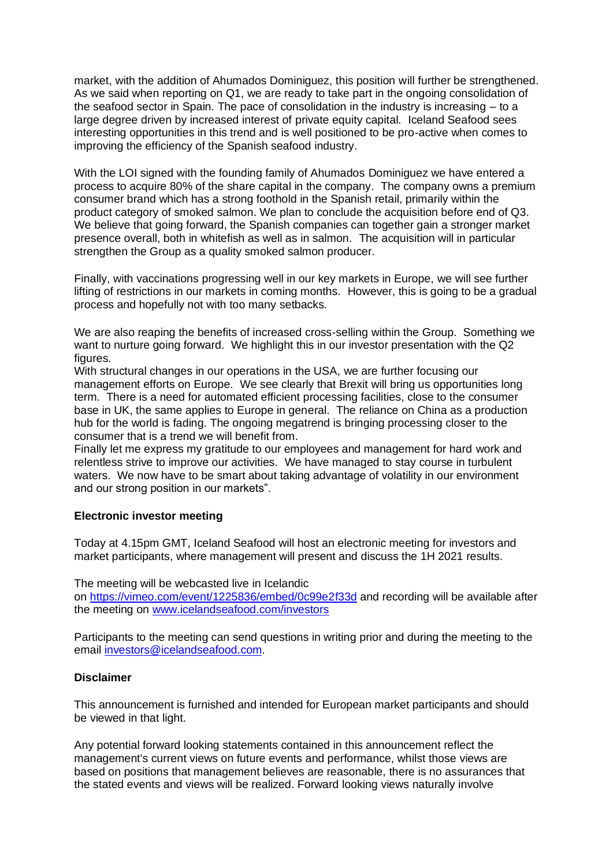market, with the addition of Ahumados Dominiguez, this position will further be strengthened. As we said when reporting on Q1, we are ready to take part in the ongoing consolidation of the seafood sector in Spain. The pace of consolidation in the industry is increasing – to a large degree driven by increased interest of private equity capital. Iceland Seafood sees interesting opportunities in this trend and is well positioned to be pro-active when comes to improving the efficiency of the Spanish seafood industry.

With the LOI signed with the founding family of Ahumados Dominiguez we have entered a process to acquire 80% of the share capital in the company. The company owns a premium consumer brand which has a strong foothold in the Spanish retail, primarily within the product category of smoked salmon. We plan to conclude the acquisition before end of Q3. We believe that going forward, the Spanish companies can together gain a stronger market presence overall, both in whitefish as well as in salmon. The acquisition will in particular strengthen the Group as a quality smoked salmon producer.

Finally, with vaccinations progressing well in our key markets in Europe, we will see further lifting of restrictions in our markets in coming months. However, this is going to be a gradual process and hopefully not with too many setbacks.

We are also reaping the benefits of increased cross-selling within the Group. Something we want to nurture going forward. We highlight this in our investor presentation with the Q2 figures.

With structural changes in our operations in the USA, we are further focusing our management efforts on Europe. We see clearly that Brexit will bring us opportunities long term. There is a need for automated efficient processing facilities, close to the consumer base in UK, the same applies to Europe in general. The reliance on China as a production hub for the world is fading. The ongoing megatrend is bringing processing closer to the consumer that is a trend we will benefit from.

Finally let me express my gratitude to our employees and management for hard work and relentless strive to improve our activities. We have managed to stay course in turbulent waters. We now have to be smart about taking advantage of volatility in our environment and our strong position in our markets".

#### **Electronic investor meeting**

Today at 4.15pm GMT, Iceland Seafood will host an electronic meeting for investors and market participants, where management will present and discuss the 1H 2021 results.

The meeting will be webcasted live in Icelandic on [https://vimeo.com/event/1225836/embed/0c99e2f33d](https://www.globenewswire.com/Tracker?data=aolPFXpncOqPIMF4fD3U_sQe3zL9e7pw2hde9G9mgWQzAgekcwQJB2d__fGkUSYRzU9HZbds3UShYc7ZA3UD8MZcr75SgN7AnZcNrEujFSbJFRKrsXFUBwnvofJxgW5ZNLiBaQVDkUeTY3ig3PmvqaupqPkMZMxsrayVqpnWYtQ=) and recording will be available after the meeting on [www.icelandseafood.com/investors](https://www.globenewswire.com/Tracker?data=nTwnYSQ7DcZ2mQVJo7vWm3RkGOsWAeCEqHNjtMSwZu7AuJc3qMxDNcfXD-zkaGUnb7Fmsc_YLqdqF28ntK-VZMr61dDGVnpeOQ3R_i0fXM5Ty17oioLUFFUrvSiEcM5a)

Participants to the meeting can send questions in writing prior and during the meeting to the email [investors@icelandseafood.com.](https://www.globenewswire.com/Tracker?data=9JyxTgf6WTd-v-5XfPnKLtEaxn_ta0Ri6XW4ujTB4TpXAw7xjskXPOCQ3WSTAoDsaCxT3E3v1V3OKX7bzAtOsnB16tjj865d_zyekjZML7GItWkBXq8yW0q10bDjkXx00aUKcqOKhOLxjn2yqTs0_DtfLIM2lAfpWXL_ASIeYRzbjen5gxfcmOVm5P9ZdD8E5QAwNbuWzERzIw-lZri9lBugnkh1NeZtAYf1f901xEChBb-byxXILgZBDy2pAPtpdzEIbrdSEDY1qzHDL1tGhiTtvdjw4ZL-IazczJnjPspkbDahKd7gYEOnwas7KNeEdcVwUP4RV12FnI9YZe9zmlscKsB6ynpqowmklaN_p5KtWMtx4skAr_lZVrYAdOEjL_yV0hknjjyJ_qY-_piChp0TjDtVuDeKw3lCJbIq_Y1mklKF6utCWvNga4ddFB9eYJjjX9_u54WEi5YSCzYtXSWY5c4TXx5qDcrKXzOHD8g9im1pzQicDBQvSL1_DYys1mdsXe_jFJ-DjJsDOG7ulA==)

#### **Disclaimer**

This announcement is furnished and intended for European market participants and should be viewed in that light.

Any potential forward looking statements contained in this announcement reflect the management's current views on future events and performance, whilst those views are based on positions that management believes are reasonable, there is no assurances that the stated events and views will be realized. Forward looking views naturally involve